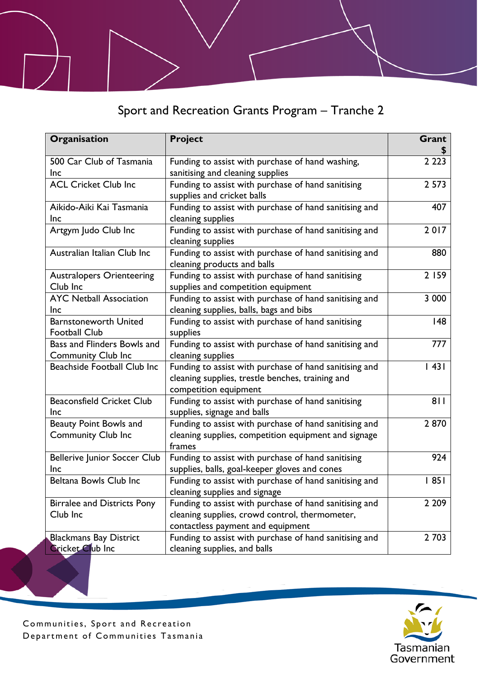Sport and Recreation Grants Program – Tranche 2

| Organisation                                             | Project                                                                                                                                       | Grant   |
|----------------------------------------------------------|-----------------------------------------------------------------------------------------------------------------------------------------------|---------|
| 500 Car Club of Tasmania                                 | Funding to assist with purchase of hand washing,                                                                                              | 2 2 2 3 |
| Inc                                                      | sanitising and cleaning supplies                                                                                                              |         |
| <b>ACL Cricket Club Inc</b>                              | Funding to assist with purchase of hand sanitising<br>supplies and cricket balls                                                              | 2 5 7 3 |
| Aikido-Aiki Kai Tasmania<br>Inc                          | Funding to assist with purchase of hand sanitising and<br>cleaning supplies                                                                   | 407     |
| Artgym Judo Club Inc                                     | Funding to assist with purchase of hand sanitising and<br>cleaning supplies                                                                   | 2017    |
| Australian Italian Club Inc                              | Funding to assist with purchase of hand sanitising and<br>cleaning products and balls                                                         | 880     |
| <b>Australopers Orienteering</b><br>Club Inc             | Funding to assist with purchase of hand sanitising<br>supplies and competition equipment                                                      | 2 159   |
| <b>AYC Netball Association</b><br>Inc                    | Funding to assist with purchase of hand sanitising and<br>cleaning supplies, balls, bags and bibs                                             | 3 000   |
| <b>Barnstoneworth United</b><br><b>Football Club</b>     | Funding to assist with purchase of hand sanitising<br>supplies                                                                                | 148     |
| Bass and Flinders Bowls and<br><b>Community Club Inc</b> | Funding to assist with purchase of hand sanitising and<br>cleaning supplies                                                                   | 777     |
| Beachside Football Club Inc                              | Funding to assist with purchase of hand sanitising and<br>cleaning supplies, trestle benches, training and<br>competition equipment           | 43      |
| <b>Beaconsfield Cricket Club</b><br>Inc                  | Funding to assist with purchase of hand sanitising<br>supplies, signage and balls                                                             | 811     |
| Beauty Point Bowls and<br><b>Community Club Inc</b>      | Funding to assist with purchase of hand sanitising and<br>cleaning supplies, competition equipment and signage<br>frames                      | 2870    |
| <b>Bellerive Junior Soccer Club</b><br>Inc               | Funding to assist with purchase of hand sanitising<br>supplies, balls, goal-keeper gloves and cones                                           | 924     |
| Beltana Bowls Club Inc                                   | Funding to assist with purchase of hand sanitising and<br>cleaning supplies and signage                                                       | 1851    |
| <b>Birralee and Districts Pony</b><br>Club Inc           | Funding to assist with purchase of hand sanitising and<br>cleaning supplies, crowd control, thermometer,<br>contactless payment and equipment | 2 2 0 9 |
| <b>Blackmans Bay District</b><br><b>Cricket Club Inc</b> | Funding to assist with purchase of hand sanitising and<br>cleaning supplies, and balls                                                        | 2 7 0 3 |

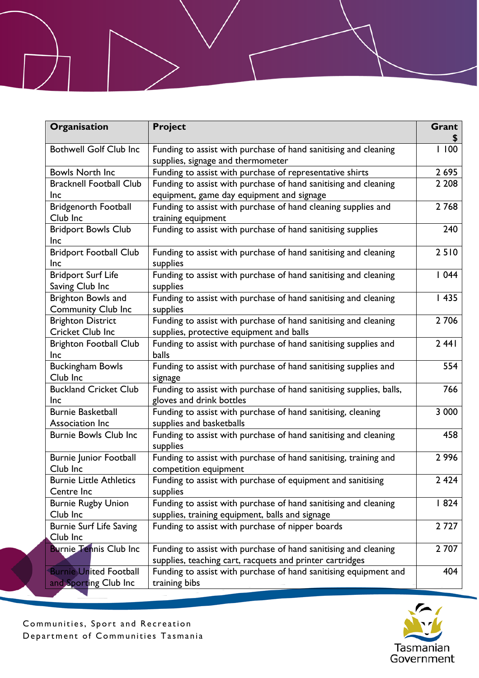| Organisation                                           | <b>Project</b>                                                                                                              | Grant   |
|--------------------------------------------------------|-----------------------------------------------------------------------------------------------------------------------------|---------|
| <b>Bothwell Golf Club Inc</b>                          | Funding to assist with purchase of hand sanitising and cleaning<br>supplies, signage and thermometer                        | 1100    |
| <b>Bowls North Inc</b>                                 | Funding to assist with purchase of representative shirts                                                                    | 2 6 9 5 |
| <b>Bracknell Football Club</b>                         | Funding to assist with purchase of hand sanitising and cleaning                                                             | 2 2 0 8 |
| Inc                                                    | equipment, game day equipment and signage                                                                                   |         |
| Bridgenorth Football                                   | Funding to assist with purchase of hand cleaning supplies and                                                               | 2768    |
| Club Inc                                               | training equipment                                                                                                          |         |
| <b>Bridport Bowls Club</b><br><b>Inc</b>               | Funding to assist with purchase of hand sanitising supplies                                                                 | 240     |
| <b>Bridport Football Club</b><br><b>Inc</b>            | Funding to assist with purchase of hand sanitising and cleaning<br>supplies                                                 | 2510    |
| <b>Bridport Surf Life</b><br>Saving Club Inc           | Funding to assist with purchase of hand sanitising and cleaning<br>supplies                                                 | 1044    |
| Brighton Bowls and<br><b>Community Club Inc</b>        | Funding to assist with purchase of hand sanitising and cleaning<br>supplies                                                 | 1435    |
| <b>Brighton District</b>                               | Funding to assist with purchase of hand sanitising and cleaning                                                             | 2 7 0 6 |
| <b>Cricket Club Inc</b>                                | supplies, protective equipment and balls                                                                                    |         |
| <b>Brighton Football Club</b><br>Inc                   | Funding to assist with purchase of hand sanitising supplies and<br><b>balls</b>                                             | 2441    |
| <b>Buckingham Bowls</b>                                | Funding to assist with purchase of hand sanitising supplies and                                                             | 554     |
| Club Inc                                               | signage                                                                                                                     |         |
| <b>Buckland Cricket Club</b><br>Inc                    | Funding to assist with purchase of hand sanitising supplies, balls,<br>gloves and drink bottles                             | 766     |
| <b>Burnie Basketball</b><br>Association Inc            | Funding to assist with purchase of hand sanitising, cleaning<br>supplies and basketballs                                    | 3 000   |
| <b>Burnie Bowls Club Inc</b>                           | Funding to assist with purchase of hand sanitising and cleaning<br>supplies                                                 | 458     |
| <b>Burnie Junior Football</b><br>Club Inc              | Funding to assist with purchase of hand sanitising, training and<br>competition equipment                                   | 2996    |
| <b>Burnie Little Athletics</b><br>Centre Inc           | Funding to assist with purchase of equipment and sanitising<br>supplies                                                     | 2424    |
| <b>Burnie Rugby Union</b><br>Club Inc                  | Funding to assist with purchase of hand sanitising and cleaning<br>supplies, training equipment, balls and signage          | 1824    |
| <b>Burnie Surf Life Saving</b>                         | Funding to assist with purchase of nipper boards                                                                            | 2727    |
| Club Inc                                               |                                                                                                                             |         |
| <b>Burnie Tennis Club Inc</b>                          | Funding to assist with purchase of hand sanitising and cleaning<br>supplies, teaching cart, racquets and printer cartridges | 2 707   |
| <b>Burnie United Football</b><br>and Sporting Club Inc | Funding to assist with purchase of hand sanitising equipment and<br>training bibs                                           | 404     |

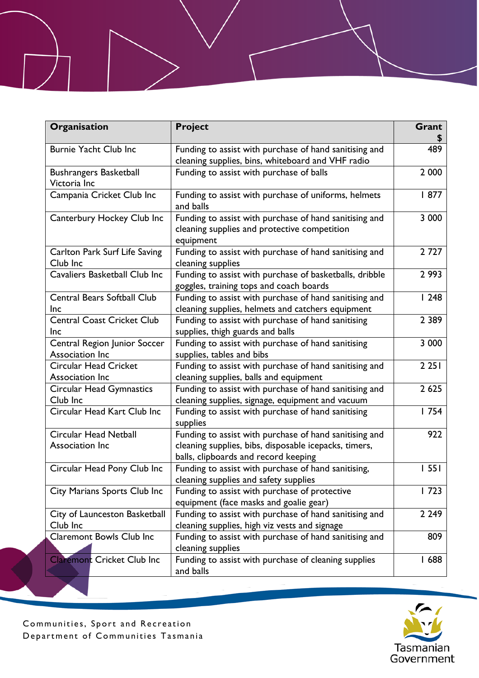| Organisation                                     | <b>Project</b>                                                                                                                                          | Grant   |
|--------------------------------------------------|---------------------------------------------------------------------------------------------------------------------------------------------------------|---------|
| <b>Burnie Yacht Club Inc</b>                     | Funding to assist with purchase of hand sanitising and<br>cleaning supplies, bins, whiteboard and VHF radio                                             | 489     |
| <b>Bushrangers Basketball</b><br>Victoria Inc    | Funding to assist with purchase of balls                                                                                                                | 2 0 0 0 |
| Campania Cricket Club Inc                        | Funding to assist with purchase of uniforms, helmets<br>and balls                                                                                       | 1877    |
| Canterbury Hockey Club Inc                       | Funding to assist with purchase of hand sanitising and<br>cleaning supplies and protective competition<br>equipment                                     | 3 000   |
| Carlton Park Surf Life Saving<br>Club Inc        | Funding to assist with purchase of hand sanitising and<br>cleaning supplies                                                                             | 2727    |
| Cavaliers Basketball Club Inc                    | Funding to assist with purchase of basketballs, dribble<br>goggles, training tops and coach boards                                                      | 2 9 9 3 |
| <b>Central Bears Softball Club</b><br><b>Inc</b> | Funding to assist with purchase of hand sanitising and<br>cleaning supplies, helmets and catchers equipment                                             | 1248    |
| <b>Central Coast Cricket Club</b><br><b>Inc</b>  | Funding to assist with purchase of hand sanitising<br>supplies, thigh guards and balls                                                                  | 2 3 8 9 |
| Central Region Junior Soccer<br>Association Inc  | Funding to assist with purchase of hand sanitising<br>supplies, tables and bibs                                                                         | 3 000   |
| <b>Circular Head Cricket</b><br>Association Inc  | Funding to assist with purchase of hand sanitising and<br>cleaning supplies, balls and equipment                                                        | 2 2 5 1 |
| <b>Circular Head Gymnastics</b><br>Club Inc      | Funding to assist with purchase of hand sanitising and<br>cleaning supplies, signage, equipment and vacuum                                              | 2 6 2 5 |
| Circular Head Kart Club Inc                      | Funding to assist with purchase of hand sanitising<br>supplies                                                                                          | 1754    |
| <b>Circular Head Netball</b><br>Association Inc  | Funding to assist with purchase of hand sanitising and<br>cleaning supplies, bibs, disposable icepacks, timers,<br>balls, clipboards and record keeping | 922     |
| Circular Head Pony Club Inc                      | Funding to assist with purchase of hand sanitising,<br>cleaning supplies and safety supplies                                                            | 1551    |
| City Marians Sports Club Inc                     | Funding to assist with purchase of protective<br>equipment (face masks and goalie gear)                                                                 | 1723    |
| City of Launceston Basketball<br>Club Inc        | Funding to assist with purchase of hand sanitising and<br>cleaning supplies, high viz vests and signage                                                 | 2 2 4 9 |
| <b>Claremont Bowls Club Inc</b>                  | Funding to assist with purchase of hand sanitising and<br>cleaning supplies                                                                             | 809     |
| <b>Claremont Cricket Club Inc</b>                | Funding to assist with purchase of cleaning supplies<br>and balls                                                                                       | 1688    |

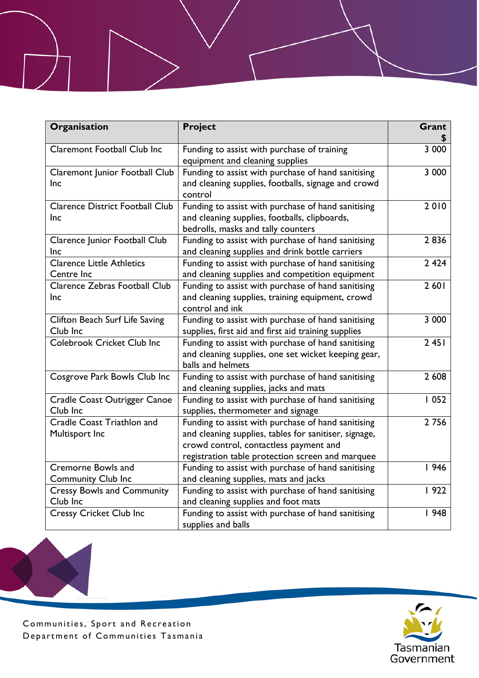| Organisation                                   | <b>Project</b>                                                                                                                                                                                            | Grant   |
|------------------------------------------------|-----------------------------------------------------------------------------------------------------------------------------------------------------------------------------------------------------------|---------|
| <b>Claremont Football Club Inc</b>             | Funding to assist with purchase of training<br>equipment and cleaning supplies                                                                                                                            | 3 000   |
| Claremont Junior Football Club<br>Inc          | Funding to assist with purchase of hand sanitising<br>and cleaning supplies, footballs, signage and crowd<br>control                                                                                      | 3 0 0 0 |
| <b>Clarence District Football Club</b><br>Inc  | Funding to assist with purchase of hand sanitising<br>and cleaning supplies, footballs, clipboards,<br>bedrolls, masks and tally counters                                                                 | 2010    |
| Clarence Junior Football Club<br>Inc           | Funding to assist with purchase of hand sanitising<br>and cleaning supplies and drink bottle carriers                                                                                                     | 2836    |
| <b>Clarence Little Athletics</b><br>Centre Inc | Funding to assist with purchase of hand sanitising<br>and cleaning supplies and competition equipment                                                                                                     | 2 4 2 4 |
| Clarence Zebras Football Club<br><b>Inc</b>    | Funding to assist with purchase of hand sanitising<br>and cleaning supplies, training equipment, crowd<br>control and ink                                                                                 | 2 60 1  |
| Clifton Beach Surf Life Saving<br>Club Inc     | Funding to assist with purchase of hand sanitising<br>supplies, first aid and first aid training supplies                                                                                                 | 3 000   |
| Colebrook Cricket Club Inc                     | Funding to assist with purchase of hand sanitising<br>and cleaning supplies, one set wicket keeping gear,<br>balls and helmets                                                                            | 2451    |
| Cosgrove Park Bowls Club Inc                   | Funding to assist with purchase of hand sanitising<br>and cleaning supplies, jacks and mats                                                                                                               | 2 608   |
| Cradle Coast Outrigger Canoe<br>Club Inc       | Funding to assist with purchase of hand sanitising<br>supplies, thermometer and signage                                                                                                                   | 1052    |
| Cradle Coast Triathlon and<br>Multisport Inc   | Funding to assist with purchase of hand sanitising<br>and cleaning supplies, tables for sanitiser, signage,<br>crowd control, contactless payment and<br>registration table protection screen and marquee | 2756    |
| <b>Cremorne Bowls and</b>                      | Funding to assist with purchase of hand sanitising                                                                                                                                                        | 1946    |
| <b>Community Club Inc</b>                      | and cleaning supplies, mats and jacks                                                                                                                                                                     |         |
| <b>Cressy Bowls and Community</b><br>Club Inc  | Funding to assist with purchase of hand sanitising<br>and cleaning supplies and foot mats                                                                                                                 | 922     |
| <b>Cressy Cricket Club Inc</b>                 | Funding to assist with purchase of hand sanitising<br>supplies and balls                                                                                                                                  | 1948    |

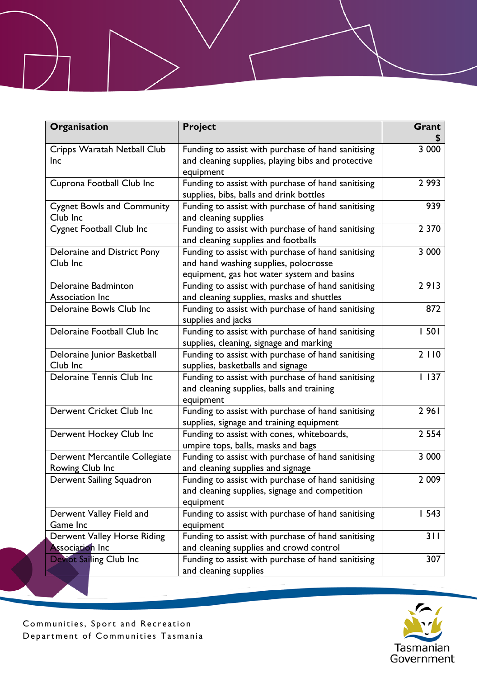| Organisation                                          | <b>Project</b>                                                                                                                            | Grant   |
|-------------------------------------------------------|-------------------------------------------------------------------------------------------------------------------------------------------|---------|
| Cripps Waratah Netball Club<br><b>Inc</b>             | Funding to assist with purchase of hand sanitising<br>and cleaning supplies, playing bibs and protective<br>equipment                     | 3 000   |
| Cuprona Football Club Inc                             | Funding to assist with purchase of hand sanitising<br>supplies, bibs, balls and drink bottles                                             | 2 9 9 3 |
| <b>Cygnet Bowls and Community</b><br>Club Inc         | Funding to assist with purchase of hand sanitising<br>and cleaning supplies                                                               | 939     |
| <b>Cygnet Football Club Inc</b>                       | Funding to assist with purchase of hand sanitising<br>and cleaning supplies and footballs                                                 | 2 3 7 0 |
| Deloraine and District Pony<br>Club Inc               | Funding to assist with purchase of hand sanitising<br>and hand washing supplies, polocrosse<br>equipment, gas hot water system and basins | 3 000   |
| Deloraine Badminton<br>Association Inc                | Funding to assist with purchase of hand sanitising<br>and cleaning supplies, masks and shuttles                                           | 2913    |
| Deloraine Bowls Club Inc                              | Funding to assist with purchase of hand sanitising<br>supplies and jacks                                                                  | 872     |
| Deloraine Football Club Inc                           | Funding to assist with purchase of hand sanitising<br>supplies, cleaning, signage and marking                                             | 1501    |
| Deloraine Junior Basketball<br>Club Inc               | Funding to assist with purchase of hand sanitising<br>supplies, basketballs and signage                                                   | 2110    |
| Deloraine Tennis Club Inc                             | Funding to assist with purchase of hand sanitising<br>and cleaning supplies, balls and training<br>equipment                              | 1137    |
| Derwent Cricket Club Inc                              | Funding to assist with purchase of hand sanitising<br>supplies, signage and training equipment                                            | 2961    |
| Derwent Hockey Club Inc                               | Funding to assist with cones, whiteboards,<br>umpire tops, balls, masks and bags                                                          | 2 5 5 4 |
| Derwent Mercantile Collegiate<br>Rowing Club Inc      | Funding to assist with purchase of hand sanitising<br>and cleaning supplies and signage                                                   | 3 000   |
| Derwent Sailing Squadron                              | Funding to assist with purchase of hand sanitising<br>and cleaning supplies, signage and competition<br>equipment                         | 2 0 0 9 |
| Derwent Valley Field and<br>Game Inc                  | Funding to assist with purchase of hand sanitising<br>equipment                                                                           | 1543    |
| Derwent Valley Horse Riding<br><b>Association Inc</b> | Funding to assist with purchase of hand sanitising<br>and cleaning supplies and crowd control                                             | 311     |
| Deviot Sailing Club Inc                               | Funding to assist with purchase of hand sanitising<br>and cleaning supplies                                                               | 307     |

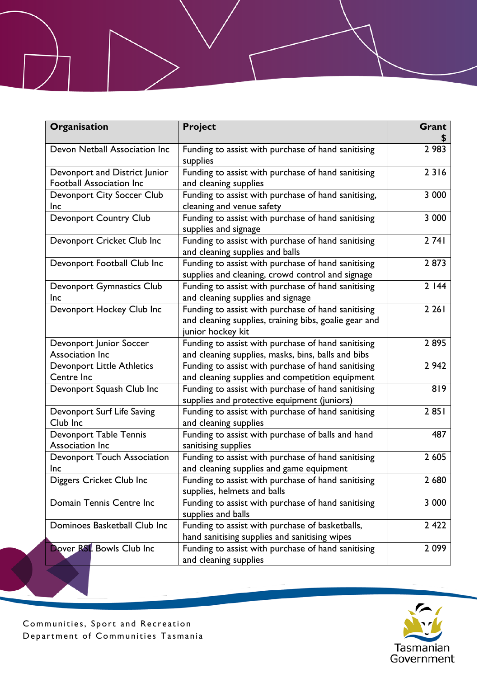| Organisation                                                     | Project                                                                                                                          | Grant   |
|------------------------------------------------------------------|----------------------------------------------------------------------------------------------------------------------------------|---------|
| Devon Netball Association Inc                                    | Funding to assist with purchase of hand sanitising<br>supplies                                                                   | 2 9 8 3 |
| Devonport and District Junior<br><b>Football Association Inc</b> | Funding to assist with purchase of hand sanitising<br>and cleaning supplies                                                      | 2316    |
| Devonport City Soccer Club<br>Inc                                | Funding to assist with purchase of hand sanitising,<br>cleaning and venue safety                                                 | 3 000   |
| <b>Devonport Country Club</b>                                    | Funding to assist with purchase of hand sanitising<br>supplies and signage                                                       | 3 000   |
| Devonport Cricket Club Inc                                       | Funding to assist with purchase of hand sanitising<br>and cleaning supplies and balls                                            | 2 74 1  |
| Devonport Football Club Inc                                      | Funding to assist with purchase of hand sanitising<br>supplies and cleaning, crowd control and signage                           | 2873    |
| Devonport Gymnastics Club<br>Inc                                 | Funding to assist with purchase of hand sanitising<br>and cleaning supplies and signage                                          | 2144    |
| Devonport Hockey Club Inc                                        | Funding to assist with purchase of hand sanitising<br>and cleaning supplies, training bibs, goalie gear and<br>junior hockey kit | 2 2 6 1 |
| Devonport Junior Soccer<br>Association Inc                       | Funding to assist with purchase of hand sanitising<br>and cleaning supplies, masks, bins, balls and bibs                         | 2895    |
| <b>Devonport Little Athletics</b><br>Centre Inc                  | Funding to assist with purchase of hand sanitising<br>and cleaning supplies and competition equipment                            | 2 9 4 2 |
| Devonport Squash Club Inc                                        | Funding to assist with purchase of hand sanitising<br>supplies and protective equipment (juniors)                                | 819     |
| Devonport Surf Life Saving<br>Club Inc                           | Funding to assist with purchase of hand sanitising<br>and cleaning supplies                                                      | 2851    |
| <b>Devonport Table Tennis</b><br>Association Inc                 | Funding to assist with purchase of balls and hand<br>sanitising supplies                                                         | 487     |
| Devonport Touch Association<br>Inc                               | Funding to assist with purchase of hand sanitising<br>and cleaning supplies and game equipment                                   | 2 6 0 5 |
| Diggers Cricket Club Inc                                         | Funding to assist with purchase of hand sanitising<br>supplies, helmets and balls                                                | 2 680   |
| Domain Tennis Centre Inc                                         | Funding to assist with purchase of hand sanitising<br>supplies and balls                                                         | 3 0 0 0 |
| Dominoes Basketball Club Inc                                     | Funding to assist with purchase of basketballs,<br>hand sanitising supplies and sanitising wipes                                 | 2 4 2 2 |
| Dover RSL Bowls Club Inc                                         | Funding to assist with purchase of hand sanitising<br>and cleaning supplies                                                      | 2099    |

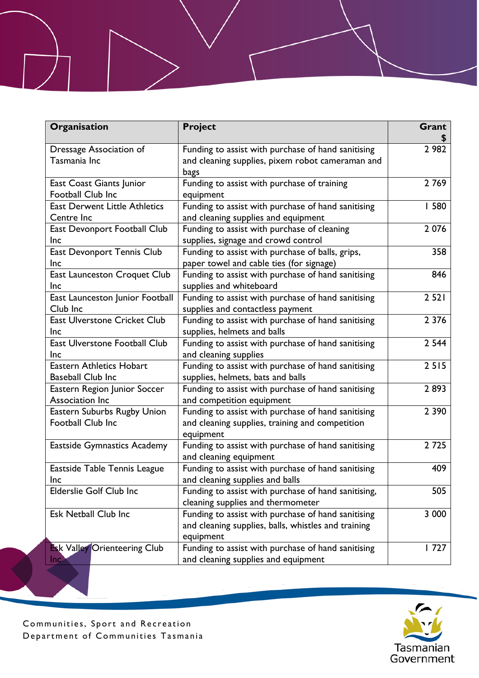| Organisation                         | <b>Project</b>                                      | Grant   |
|--------------------------------------|-----------------------------------------------------|---------|
| Dressage Association of              | Funding to assist with purchase of hand sanitising  | 2 9 8 2 |
| Tasmania Inc                         | and cleaning supplies, pixem robot cameraman and    |         |
|                                      | bags                                                |         |
| East Coast Giants Junior             | Funding to assist with purchase of training         | 2769    |
| Football Club Inc                    | equipment                                           |         |
| <b>East Derwent Little Athletics</b> | Funding to assist with purchase of hand sanitising  | 580     |
| Centre Inc                           | and cleaning supplies and equipment                 |         |
| East Devonport Football Club         | Funding to assist with purchase of cleaning         | 2 0 7 6 |
| Inc                                  | supplies, signage and crowd control                 |         |
| East Devonport Tennis Club           | Funding to assist with purchase of balls, grips,    | 358     |
| <b>Inc</b>                           | paper towel and cable ties (for signage)            |         |
| East Launceston Croquet Club         | Funding to assist with purchase of hand sanitising  | 846     |
| <b>Inc</b>                           | supplies and whiteboard                             |         |
| East Launceston Junior Football      | Funding to assist with purchase of hand sanitising  | 2 5 2 1 |
| Club Inc                             | supplies and contactless payment                    |         |
| <b>East Ulverstone Cricket Club</b>  | Funding to assist with purchase of hand sanitising  | 2 3 7 6 |
| Inc                                  | supplies, helmets and balls                         |         |
| East Ulverstone Football Club        | Funding to assist with purchase of hand sanitising  | 2 5 4 4 |
| <b>Inc</b>                           | and cleaning supplies                               |         |
| <b>Eastern Athletics Hobart</b>      | Funding to assist with purchase of hand sanitising  | 2515    |
| <b>Baseball Club Inc</b>             | supplies, helmets, bats and balls                   |         |
| Eastern Region Junior Soccer         | Funding to assist with purchase of hand sanitising  | 2893    |
| Association Inc                      | and competition equipment                           |         |
| Eastern Suburbs Rugby Union          | Funding to assist with purchase of hand sanitising  | 2 3 9 0 |
| Football Club Inc                    | and cleaning supplies, training and competition     |         |
|                                      | equipment                                           |         |
| <b>Eastside Gymnastics Academy</b>   | Funding to assist with purchase of hand sanitising  | 2725    |
|                                      | and cleaning equipment                              |         |
| Eastside Table Tennis League         | Funding to assist with purchase of hand sanitising  | 409     |
| <b>Inc</b>                           | and cleaning supplies and balls                     |         |
| Elderslie Golf Club Inc              | Funding to assist with purchase of hand sanitising, | 505     |
|                                      | cleaning supplies and thermometer                   |         |
| Esk Netball Club Inc                 | Funding to assist with purchase of hand sanitising  | 3 0 0 0 |
|                                      | and cleaning supplies, balls, whistles and training |         |
|                                      | equipment                                           |         |
| <b>Esk Valley Orienteering Club</b>  | Funding to assist with purchase of hand sanitising  | 1727    |
| Inc                                  | and cleaning supplies and equipment                 |         |

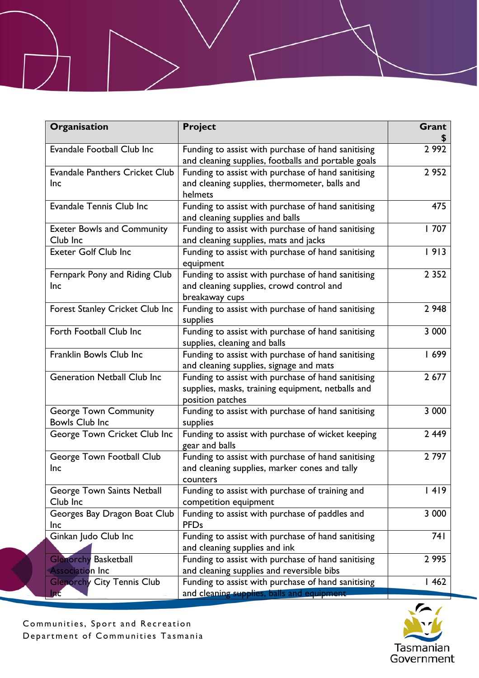| Organisation                                           | <b>Project</b>                                                  | Grant   |
|--------------------------------------------------------|-----------------------------------------------------------------|---------|
| Evandale Football Club Inc                             | Funding to assist with purchase of hand sanitising              | 2992    |
|                                                        | and cleaning supplies, footballs and portable goals             |         |
| <b>Evandale Panthers Cricket Club</b>                  | Funding to assist with purchase of hand sanitising              | 2 9 5 2 |
| Inc                                                    | and cleaning supplies, thermometer, balls and                   |         |
|                                                        | helmets                                                         |         |
| <b>Evandale Tennis Club Inc</b>                        | Funding to assist with purchase of hand sanitising              | 475     |
|                                                        | and cleaning supplies and balls                                 |         |
| <b>Exeter Bowls and Community</b>                      | Funding to assist with purchase of hand sanitising              | 1707    |
| Club Inc                                               | and cleaning supplies, mats and jacks                           |         |
| <b>Exeter Golf Club Inc</b>                            | Funding to assist with purchase of hand sanitising<br>equipment | 1913    |
| Fernpark Pony and Riding Club                          | Funding to assist with purchase of hand sanitising              | 2 3 5 2 |
| <b>Inc</b>                                             | and cleaning supplies, crowd control and                        |         |
|                                                        | breakaway cups                                                  |         |
| Forest Stanley Cricket Club Inc                        | Funding to assist with purchase of hand sanitising              | 2 9 4 8 |
|                                                        | supplies                                                        |         |
| Forth Football Club Inc                                | Funding to assist with purchase of hand sanitising              | 3 000   |
|                                                        | supplies, cleaning and balls                                    |         |
| Franklin Bowls Club Inc                                | Funding to assist with purchase of hand sanitising              | 1699    |
|                                                        | and cleaning supplies, signage and mats                         |         |
| <b>Generation Netball Club Inc</b>                     | Funding to assist with purchase of hand sanitising              | 2 677   |
|                                                        | supplies, masks, training equipment, netballs and               |         |
|                                                        | position patches                                                | 3 000   |
| <b>George Town Community</b><br><b>Bowls Club Inc.</b> | Funding to assist with purchase of hand sanitising<br>supplies  |         |
| George Town Cricket Club Inc                           | Funding to assist with purchase of wicket keeping               | 2 4 4 9 |
|                                                        | gear and balls                                                  |         |
| George Town Football Club                              | Funding to assist with purchase of hand sanitising              | 2797    |
| Inc                                                    | and cleaning supplies, marker cones and tally                   |         |
|                                                        | counters                                                        |         |
| George Town Saints Netball                             | Funding to assist with purchase of training and                 | 4 9     |
| Club Inc                                               | competition equipment                                           |         |
| Georges Bay Dragon Boat Club                           | Funding to assist with purchase of paddles and                  | 3 0 0 0 |
| Inc                                                    | <b>PFDs</b>                                                     |         |
| Ginkan Judo Club Inc                                   | Funding to assist with purchase of hand sanitising              | 74 I    |
|                                                        | and cleaning supplies and ink                                   |         |
| <b>Glenorchy Basketball</b>                            | Funding to assist with purchase of hand sanitising              | 2995    |
| <b>Association Inc</b>                                 | and cleaning supplies and reversible bibs                       |         |
| <b>Glenorchy City Tennis Club</b>                      | Funding to assist with purchase of hand sanitising              | 1462    |
| Iлс                                                    | and cleaning supplies, balls and equipment                      |         |

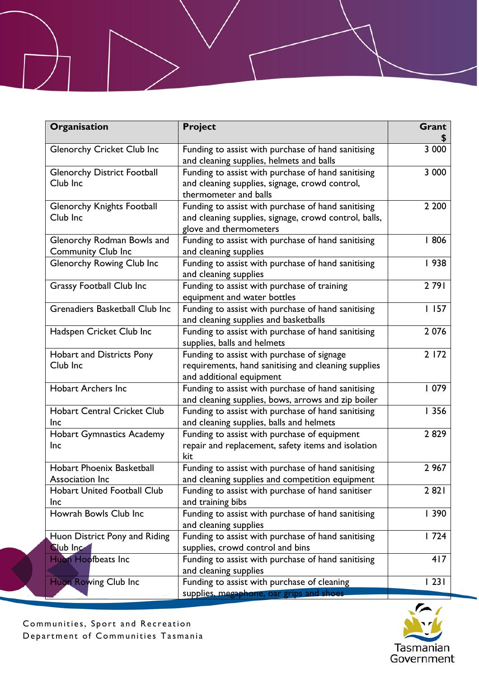| Organisation                                            | <b>Project</b>                                                                                                                                                 | Grant        |
|---------------------------------------------------------|----------------------------------------------------------------------------------------------------------------------------------------------------------------|--------------|
| <b>Glenorchy Cricket Club Inc</b>                       | Funding to assist with purchase of hand sanitising<br>and cleaning supplies, helmets and balls                                                                 | 3 000        |
| <b>Glenorchy District Football</b><br>Club Inc          | Funding to assist with purchase of hand sanitising<br>and cleaning supplies, signage, crowd control,                                                           | 3 000        |
| <b>Glenorchy Knights Football</b><br>Club Inc           | thermometer and balls<br>Funding to assist with purchase of hand sanitising<br>and cleaning supplies, signage, crowd control, balls,<br>glove and thermometers | 2 2 0 0      |
| Glenorchy Rodman Bowls and<br><b>Community Club Inc</b> | Funding to assist with purchase of hand sanitising<br>and cleaning supplies                                                                                    | 1806         |
| Glenorchy Rowing Club Inc                               | Funding to assist with purchase of hand sanitising<br>and cleaning supplies                                                                                    | 1938         |
| <b>Grassy Football Club Inc</b>                         | Funding to assist with purchase of training<br>equipment and water bottles                                                                                     | 2791         |
| Grenadiers Basketball Club Inc                          | Funding to assist with purchase of hand sanitising<br>and cleaning supplies and basketballs                                                                    | 1157         |
| Hadspen Cricket Club Inc                                | Funding to assist with purchase of hand sanitising<br>supplies, balls and helmets                                                                              | 2 0 7 6      |
| Hobart and Districts Pony<br>Club Inc                   | Funding to assist with purchase of signage<br>requirements, hand sanitising and cleaning supplies<br>and additional equipment                                  | 2 172        |
| <b>Hobart Archers Inc</b>                               | Funding to assist with purchase of hand sanitising<br>and cleaning supplies, bows, arrows and zip boiler                                                       | 1079         |
| <b>Hobart Central Cricket Club</b><br><b>Inc</b>        | Funding to assist with purchase of hand sanitising<br>and cleaning supplies, balls and helmets                                                                 | 1356         |
| <b>Hobart Gymnastics Academy</b><br><b>Inc</b>          | Funding to assist with purchase of equipment<br>repair and replacement, safety items and isolation<br>kit                                                      | 2829         |
| <b>Hobart Phoenix Basketball</b><br>Association Inc     | Funding to assist with purchase of hand sanitising<br>and cleaning supplies and competition equipment                                                          | 2 9 6 7      |
| <b>Hobart United Football Club</b><br><b>Inc</b>        | Funding to assist with purchase of hand sanitiser<br>and training bibs                                                                                         | 2821         |
| Howrah Bowls Club Inc                                   | Funding to assist with purchase of hand sanitising<br>and cleaning supplies                                                                                    | 390          |
| Huon District Pony and Riding<br><b>Club Inc.</b>       | Funding to assist with purchase of hand sanitising<br>supplies, crowd control and bins                                                                         | 1724         |
| <b>Huon Hoofbeats Inc</b>                               | Funding to assist with purchase of hand sanitising<br>and cleaning supplies                                                                                    | 417          |
| <b>Huon Rowing Club Inc</b>                             | Funding to assist with purchase of cleaning<br>supplies, megaphone, oar grips and shoes                                                                        | $\sqrt{231}$ |

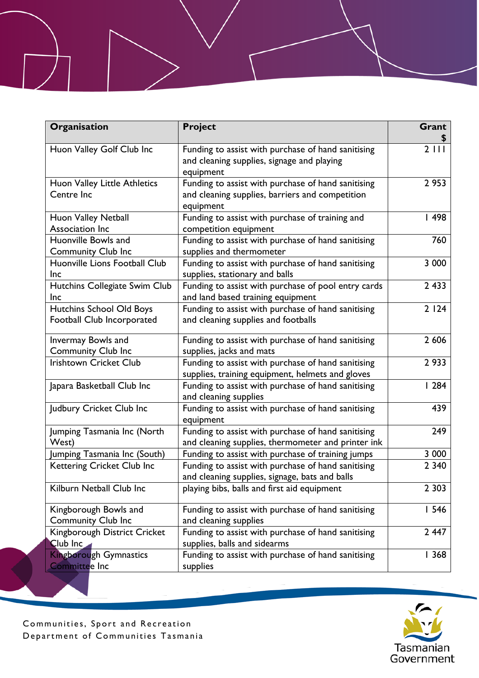| Organisation                                           | <b>Project</b>                                                                                                     | Grant   |
|--------------------------------------------------------|--------------------------------------------------------------------------------------------------------------------|---------|
| Huon Valley Golf Club Inc                              | Funding to assist with purchase of hand sanitising<br>and cleaning supplies, signage and playing<br>equipment      | $2111$  |
| Huon Valley Little Athletics<br>Centre Inc             | Funding to assist with purchase of hand sanitising<br>and cleaning supplies, barriers and competition<br>equipment | 2 9 5 3 |
| Huon Valley Netball<br>Association Inc                 | Funding to assist with purchase of training and<br>competition equipment                                           | 498     |
| Huonville Bowls and<br><b>Community Club Inc</b>       | Funding to assist with purchase of hand sanitising<br>supplies and thermometer                                     | 760     |
| Huonville Lions Football Club<br>Inc                   | Funding to assist with purchase of hand sanitising<br>supplies, stationary and balls                               | 3 0 0 0 |
| Hutchins Collegiate Swim Club<br><b>Inc</b>            | Funding to assist with purchase of pool entry cards<br>and land based training equipment                           | 2 4 3 3 |
| Hutchins School Old Boys<br>Football Club Incorporated | Funding to assist with purchase of hand sanitising<br>and cleaning supplies and footballs                          | 2124    |
| Invermay Bowls and<br><b>Community Club Inc</b>        | Funding to assist with purchase of hand sanitising<br>supplies, jacks and mats                                     | 2 606   |
| <b>Irishtown Cricket Club</b>                          | Funding to assist with purchase of hand sanitising<br>supplies, training equipment, helmets and gloves             | 2 9 3 3 |
| Japara Basketball Club Inc                             | Funding to assist with purchase of hand sanitising<br>and cleaning supplies                                        | 1284    |
| Judbury Cricket Club Inc                               | Funding to assist with purchase of hand sanitising<br>equipment                                                    | 439     |
| Jumping Tasmania Inc (North<br>West)                   | Funding to assist with purchase of hand sanitising<br>and cleaning supplies, thermometer and printer ink           | 249     |
| Jumping Tasmania Inc (South)                           | Funding to assist with purchase of training jumps                                                                  | 3 0 0 0 |
| Kettering Cricket Club Inc                             | Funding to assist with purchase of hand sanitising<br>and cleaning supplies, signage, bats and balls               | 2 3 4 0 |
| Kilburn Netball Club Inc                               | playing bibs, balls and first aid equipment                                                                        | 2 3 0 3 |
| Kingborough Bowls and<br><b>Community Club Inc</b>     | Funding to assist with purchase of hand sanitising<br>and cleaning supplies                                        | 1546    |
| Kingborough District Cricket<br>$Club$ Inc             | Funding to assist with purchase of hand sanitising<br>supplies, balls and sidearms                                 | 2 4 4 7 |
| <b>Kingborough Gymnastics</b><br><b>Committee Inc</b>  | Funding to assist with purchase of hand sanitising<br>supplies                                                     | 1368    |

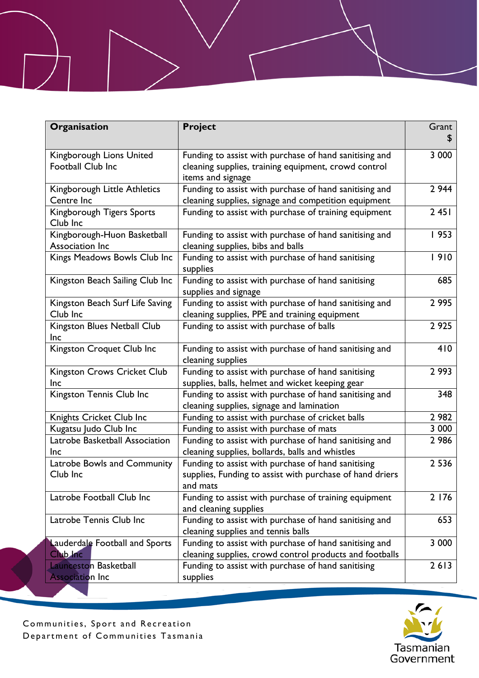| Organisation                                           | <b>Project</b>                                                                                                                      | Grant<br>£ |
|--------------------------------------------------------|-------------------------------------------------------------------------------------------------------------------------------------|------------|
| Kingborough Lions United<br>Football Club Inc          | Funding to assist with purchase of hand sanitising and<br>cleaning supplies, training equipment, crowd control<br>items and signage | 3 000      |
| Kingborough Little Athletics<br>Centre Inc             | Funding to assist with purchase of hand sanitising and<br>cleaning supplies, signage and competition equipment                      | 2 9 4 4    |
| Kingborough Tigers Sports<br>Club Inc                  | Funding to assist with purchase of training equipment                                                                               | 2451       |
| Kingborough-Huon Basketball<br>Association Inc         | Funding to assist with purchase of hand sanitising and<br>cleaning supplies, bibs and balls                                         | 1953       |
| Kings Meadows Bowls Club Inc                           | Funding to assist with purchase of hand sanitising<br>supplies                                                                      | 1910       |
| Kingston Beach Sailing Club Inc                        | Funding to assist with purchase of hand sanitising<br>supplies and signage                                                          | 685        |
| Kingston Beach Surf Life Saving<br>Club Inc            | Funding to assist with purchase of hand sanitising and<br>cleaning supplies, PPE and training equipment                             | 2 9 9 5    |
| Kingston Blues Netball Club<br><b>Inc</b>              | Funding to assist with purchase of balls                                                                                            | 2925       |
| Kingston Croquet Club Inc                              | Funding to assist with purchase of hand sanitising and<br>cleaning supplies                                                         | 410        |
| Kingston Crows Cricket Club<br>Inc                     | Funding to assist with purchase of hand sanitising<br>supplies, balls, helmet and wicket keeping gear                               | 2 9 9 3    |
| Kingston Tennis Club Inc                               | Funding to assist with purchase of hand sanitising and<br>cleaning supplies, signage and lamination                                 | 348        |
| Knights Cricket Club Inc                               | Funding to assist with purchase of cricket balls                                                                                    | 2 982      |
| Kugatsu Judo Club Inc                                  | Funding to assist with purchase of mats                                                                                             | 3 000      |
| Latrobe Basketball Association<br><b>Inc</b>           | Funding to assist with purchase of hand sanitising and<br>cleaning supplies, bollards, balls and whistles                           | 2 9 8 6    |
| Latrobe Bowls and Community<br>Club Inc                | Funding to assist with purchase of hand sanitising<br>supplies, Funding to assist with purchase of hand driers<br>and mats          | 2 5 3 6    |
| Latrobe Football Club Inc                              | Funding to assist with purchase of training equipment<br>and cleaning supplies                                                      | 2 1 7 6    |
| Latrobe Tennis Club Inc                                | Funding to assist with purchase of hand sanitising and<br>cleaning supplies and tennis balls                                        | 653        |
| <b>Lauderdale Football and Sports</b><br>Club Inc      | Funding to assist with purchase of hand sanitising and<br>cleaning supplies, crowd control products and footballs                   | 3 0 0 0    |
| <b>Launceston Basketball</b><br><b>Association Inc</b> | Funding to assist with purchase of hand sanitising<br>supplies                                                                      | 2613       |

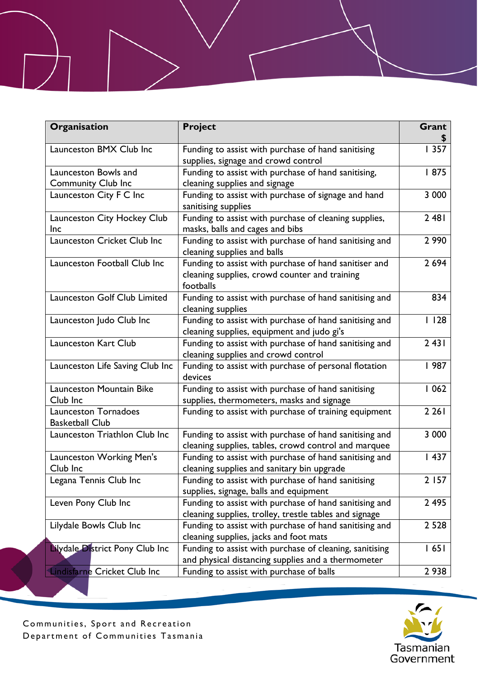| Organisation                                      | <b>Project</b>                                                                                                      | Grant   |
|---------------------------------------------------|---------------------------------------------------------------------------------------------------------------------|---------|
| Launceston BMX Club Inc                           | Funding to assist with purchase of hand sanitising<br>supplies, signage and crowd control                           | 1357    |
| Launceston Bowls and<br><b>Community Club Inc</b> | Funding to assist with purchase of hand sanitising,<br>cleaning supplies and signage                                | 1875    |
| Launceston City F C Inc                           | Funding to assist with purchase of signage and hand<br>sanitising supplies                                          | 3 000   |
| Launceston City Hockey Club<br>Inc                | Funding to assist with purchase of cleaning supplies,<br>masks, balls and cages and bibs                            | 2 4 8 1 |
| Launceston Cricket Club Inc                       | Funding to assist with purchase of hand sanitising and<br>cleaning supplies and balls                               | 2 9 9 0 |
| Launceston Football Club Inc                      | Funding to assist with purchase of hand sanitiser and<br>cleaning supplies, crowd counter and training<br>footballs | 2 6 9 4 |
| Launceston Golf Club Limited                      | Funding to assist with purchase of hand sanitising and<br>cleaning supplies                                         | 834     |
| Launceston Judo Club Inc                          | Funding to assist with purchase of hand sanitising and<br>cleaning supplies, equipment and judo gi's                | 1128    |
| Launceston Kart Club                              | Funding to assist with purchase of hand sanitising and<br>cleaning supplies and crowd control                       | 2431    |
| Launceston Life Saving Club Inc                   | Funding to assist with purchase of personal flotation<br>devices                                                    | 987     |
| Launceston Mountain Bike<br>Club Inc              | Funding to assist with purchase of hand sanitising<br>supplies, thermometers, masks and signage                     | 1062    |
| Launceston Tornadoes<br><b>Basketball Club</b>    | Funding to assist with purchase of training equipment                                                               | 2 2 6 1 |
| Launceston Triathlon Club Inc                     | Funding to assist with purchase of hand sanitising and<br>cleaning supplies, tables, crowd control and marquee      | 3 000   |
| Launceston Working Men's<br>Club Inc              | Funding to assist with purchase of hand sanitising and<br>cleaning supplies and sanitary bin upgrade                | 1437    |
| Legana Tennis Club Inc                            | Funding to assist with purchase of hand sanitising<br>supplies, signage, balls and equipment                        | 2157    |
| Leven Pony Club Inc                               | Funding to assist with purchase of hand sanitising and<br>cleaning supplies, trolley, trestle tables and signage    | 2 4 9 5 |
| Lilydale Bowls Club Inc                           | Funding to assist with purchase of hand sanitising and<br>cleaning supplies, jacks and foot mats                    | 2 5 2 8 |
| Lilydale District Pony Club Inc                   | Funding to assist with purchase of cleaning, sanitising<br>and physical distancing supplies and a thermometer       | 1651    |
| Lindisfarne Cricket Club Inc                      | Funding to assist with purchase of balls                                                                            | 2938    |

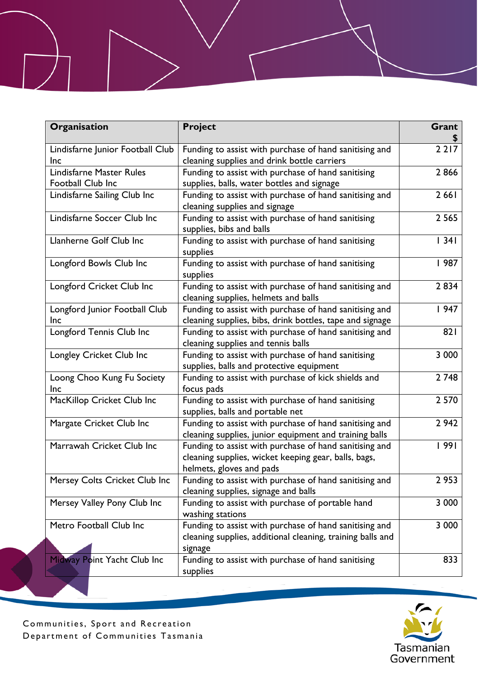| Organisation                                         | <b>Project</b>                                                                                                                             | Grant   |
|------------------------------------------------------|--------------------------------------------------------------------------------------------------------------------------------------------|---------|
| Lindisfarne Junior Football Club<br><b>Inc</b>       | Funding to assist with purchase of hand sanitising and<br>cleaning supplies and drink bottle carriers                                      | 2 2 1 7 |
| <b>Lindisfarne Master Rules</b><br>Football Club Inc | Funding to assist with purchase of hand sanitising<br>supplies, balls, water bottles and signage                                           | 2866    |
| Lindisfarne Sailing Club Inc                         | Funding to assist with purchase of hand sanitising and<br>cleaning supplies and signage                                                    | 2 6 6 1 |
| Lindisfarne Soccer Club Inc                          | Funding to assist with purchase of hand sanitising<br>supplies, bibs and balls                                                             | 2 5 6 5 |
| Llanherne Golf Club Inc                              | Funding to assist with purchase of hand sanitising<br>supplies                                                                             | 1341    |
| Longford Bowls Club Inc                              | Funding to assist with purchase of hand sanitising<br>supplies                                                                             | 987     |
| Longford Cricket Club Inc                            | Funding to assist with purchase of hand sanitising and<br>cleaning supplies, helmets and balls                                             | 2834    |
| Longford Junior Football Club<br><b>Inc</b>          | Funding to assist with purchase of hand sanitising and<br>cleaning supplies, bibs, drink bottles, tape and signage                         | 1947    |
| Longford Tennis Club Inc                             | Funding to assist with purchase of hand sanitising and<br>cleaning supplies and tennis balls                                               | 821     |
| Longley Cricket Club Inc                             | Funding to assist with purchase of hand sanitising<br>supplies, balls and protective equipment                                             | 3 000   |
| Loong Choo Kung Fu Society<br><b>Inc</b>             | Funding to assist with purchase of kick shields and<br>focus pads                                                                          | 2 7 4 8 |
| MacKillop Cricket Club Inc                           | Funding to assist with purchase of hand sanitising<br>supplies, balls and portable net                                                     | 2 5 7 0 |
| Margate Cricket Club Inc                             | Funding to assist with purchase of hand sanitising and<br>cleaning supplies, junior equipment and training balls                           | 2 9 4 2 |
| Marrawah Cricket Club Inc                            | Funding to assist with purchase of hand sanitising and<br>cleaning supplies, wicket keeping gear, balls, bags,<br>helmets, gloves and pads | 1991    |
| <b>Mersey Colts Cricket Club Inc</b>                 | Funding to assist with purchase of hand sanitising and<br>cleaning supplies, signage and balls                                             | 2953    |
| Mersey Valley Pony Club Inc                          | Funding to assist with purchase of portable hand<br>washing stations                                                                       | 3 000   |
| Metro Football Club Inc                              | Funding to assist with purchase of hand sanitising and<br>cleaning supplies, additional cleaning, training balls and<br>signage            | 3 0 0 0 |
| Midway Point Yacht Club Inc                          | Funding to assist with purchase of hand sanitising<br>supplies                                                                             | 833     |

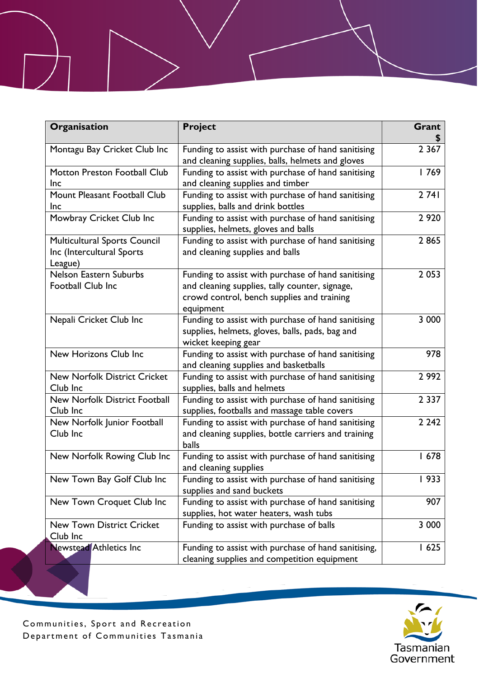| Organisation                                                                | Project                                                                                                                                                         | Grant   |
|-----------------------------------------------------------------------------|-----------------------------------------------------------------------------------------------------------------------------------------------------------------|---------|
| Montagu Bay Cricket Club Inc                                                | Funding to assist with purchase of hand sanitising<br>and cleaning supplies, balls, helmets and gloves                                                          | 2 3 6 7 |
| Motton Preston Football Club<br><b>Inc</b>                                  | Funding to assist with purchase of hand sanitising<br>and cleaning supplies and timber                                                                          | 1769    |
| Mount Pleasant Football Club<br><b>Inc</b>                                  | Funding to assist with purchase of hand sanitising<br>supplies, balls and drink bottles                                                                         | 2 74 1  |
| Mowbray Cricket Club Inc                                                    | Funding to assist with purchase of hand sanitising<br>supplies, helmets, gloves and balls                                                                       | 2 9 2 0 |
| <b>Multicultural Sports Council</b><br>Inc (Intercultural Sports<br>League) | Funding to assist with purchase of hand sanitising<br>and cleaning supplies and balls                                                                           | 2865    |
| Nelson Eastern Suburbs<br>Football Club Inc                                 | Funding to assist with purchase of hand sanitising<br>and cleaning supplies, tally counter, signage,<br>crowd control, bench supplies and training<br>equipment | 2 0 5 3 |
| Nepali Cricket Club Inc                                                     | Funding to assist with purchase of hand sanitising<br>supplies, helmets, gloves, balls, pads, bag and<br>wicket keeping gear                                    | 3 000   |
| New Horizons Club Inc                                                       | Funding to assist with purchase of hand sanitising<br>and cleaning supplies and basketballs                                                                     | 978     |
| <b>New Norfolk District Cricket</b><br>Club Inc                             | Funding to assist with purchase of hand sanitising<br>supplies, balls and helmets                                                                               | 2 9 9 2 |
| <b>New Norfolk District Football</b><br>Club Inc                            | Funding to assist with purchase of hand sanitising<br>supplies, footballs and massage table covers                                                              | 2 3 3 7 |
| New Norfolk Junior Football<br>Club Inc                                     | Funding to assist with purchase of hand sanitising<br>and cleaning supplies, bottle carriers and training<br>balls                                              | 2 2 4 2 |
| New Norfolk Rowing Club Inc                                                 | Funding to assist with purchase of hand sanitising<br>and cleaning supplies                                                                                     | 1678    |
| New Town Bay Golf Club Inc                                                  | Funding to assist with purchase of hand sanitising<br>supplies and sand buckets                                                                                 | 1933    |
| New Town Croquet Club Inc                                                   | Funding to assist with purchase of hand sanitising<br>supplies, hot water heaters, wash tubs                                                                    | 907     |
| <b>New Town District Cricket</b><br>Club Inc                                | Funding to assist with purchase of balls                                                                                                                        | 3 000   |
| <b>Newstead Athletics Inc</b>                                               | Funding to assist with purchase of hand sanitising,<br>cleaning supplies and competition equipment                                                              | 1625    |

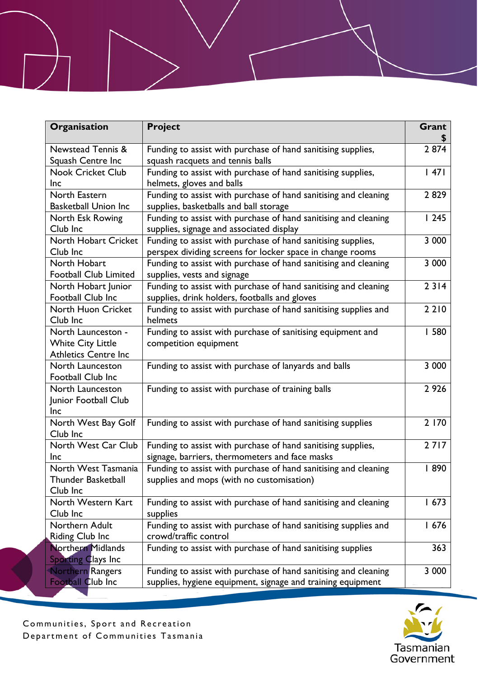| Organisation                 | Project                                                         | Grant   |
|------------------------------|-----------------------------------------------------------------|---------|
| Newstead Tennis &            | Funding to assist with purchase of hand sanitising supplies,    | 2874    |
| Squash Centre Inc            | squash racquets and tennis balls                                |         |
| <b>Nook Cricket Club</b>     | Funding to assist with purchase of hand sanitising supplies,    | 47      |
| <b>Inc</b>                   | helmets, gloves and balls                                       |         |
| North Eastern                | Funding to assist with purchase of hand sanitising and cleaning | 2829    |
| <b>Basketball Union Inc</b>  | supplies, basketballs and ball storage                          |         |
| North Esk Rowing             | Funding to assist with purchase of hand sanitising and cleaning | 1245    |
| Club Inc                     | supplies, signage and associated display                        |         |
| North Hobart Cricket         | Funding to assist with purchase of hand sanitising supplies,    | 3 000   |
| Club Inc                     | perspex dividing screens for locker space in change rooms       |         |
| North Hobart                 | Funding to assist with purchase of hand sanitising and cleaning | 3 000   |
| <b>Football Club Limited</b> | supplies, vests and signage                                     |         |
| North Hobart Junior          | Funding to assist with purchase of hand sanitising and cleaning | 2314    |
| Football Club Inc            | supplies, drink holders, footballs and gloves                   |         |
| <b>North Huon Cricket</b>    | Funding to assist with purchase of hand sanitising supplies and | 2 2 1 0 |
| Club Inc                     | helmets                                                         |         |
| North Launceston -           | Funding to assist with purchase of sanitising equipment and     | 580     |
| <b>White City Little</b>     | competition equipment                                           |         |
| <b>Athletics Centre Inc</b>  |                                                                 |         |
| North Launceston             | Funding to assist with purchase of lanyards and balls           | 3 000   |
| Football Club Inc            |                                                                 |         |
| North Launceston             | Funding to assist with purchase of training balls               | 2926    |
| Junior Football Club         |                                                                 |         |
| <b>Inc</b>                   |                                                                 |         |
| North West Bay Golf          | Funding to assist with purchase of hand sanitising supplies     | 2 170   |
| Club Inc                     |                                                                 |         |
| North West Car Club          | Funding to assist with purchase of hand sanitising supplies,    | 2717    |
| Inc                          | signage, barriers, thermometers and face masks                  |         |
| North West Tasmania          | Funding to assist with purchase of hand sanitising and cleaning | 890     |
| Thunder Basketball           | supplies and mops (with no customisation)                       |         |
| Club Inc                     |                                                                 |         |
| North Western Kart           | Funding to assist with purchase of hand sanitising and cleaning | 1673    |
| Club Inc                     | supplies                                                        |         |
| Northern Adult               | Funding to assist with purchase of hand sanitising supplies and | 1676    |
| <b>Riding Club Inc</b>       | crowd/traffic control                                           |         |
| <b>Northern Midlands</b>     | Funding to assist with purchase of hand sanitising supplies     | 363     |
| <b>Sporting Clays Inc.</b>   |                                                                 |         |
| <b>Northern Rangers</b>      | Funding to assist with purchase of hand sanitising and cleaning | 3 0 0 0 |
| <b>Football Club Inc</b>     | supplies, hygiene equipment, signage and training equipment     |         |

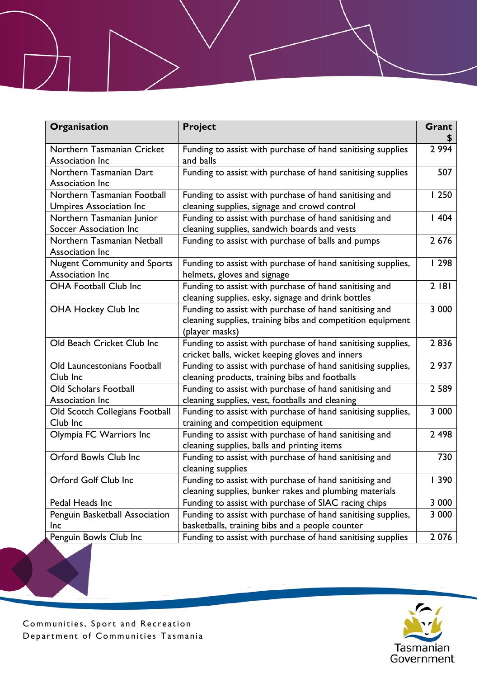| Organisation                                                  | <b>Project</b>                                                                                                                         | Grant   |
|---------------------------------------------------------------|----------------------------------------------------------------------------------------------------------------------------------------|---------|
| Northern Tasmanian Cricket<br>Association Inc                 | Funding to assist with purchase of hand sanitising supplies<br>and balls                                                               | 2 9 9 4 |
| Northern Tasmanian Dart<br>Association Inc                    | Funding to assist with purchase of hand sanitising supplies                                                                            | 507     |
| Northern Tasmanian Football<br><b>Umpires Association Inc</b> | Funding to assist with purchase of hand sanitising and<br>cleaning supplies, signage and crowd control                                 | 1250    |
| Northern Tasmanian Junior<br>Soccer Association Inc           | Funding to assist with purchase of hand sanitising and<br>cleaning supplies, sandwich boards and vests                                 | 1404    |
| Northern Tasmanian Netball<br>Association Inc                 | Funding to assist with purchase of balls and pumps                                                                                     | 2676    |
| <b>Nugent Community and Sports</b><br>Association Inc         | Funding to assist with purchase of hand sanitising supplies,<br>helmets, gloves and signage                                            | 1298    |
| <b>OHA Football Club Inc</b>                                  | Funding to assist with purchase of hand sanitising and<br>cleaning supplies, esky, signage and drink bottles                           | 2 181   |
| <b>OHA Hockey Club Inc</b>                                    | Funding to assist with purchase of hand sanitising and<br>cleaning supplies, training bibs and competition equipment<br>(player masks) | 3 000   |
| Old Beach Cricket Club Inc                                    | Funding to assist with purchase of hand sanitising supplies,<br>cricket balls, wicket keeping gloves and inners                        | 2836    |
| Old Launcestonians Football<br>Club Inc                       | Funding to assist with purchase of hand sanitising supplies,<br>cleaning products, training bibs and footballs                         | 2937    |
| <b>Old Scholars Football</b><br>Association Inc               | Funding to assist with purchase of hand sanitising and<br>cleaning supplies, vest, footballs and cleaning                              | 2 5 8 9 |
| Old Scotch Collegians Football<br>Club Inc                    | Funding to assist with purchase of hand sanitising supplies,<br>training and competition equipment                                     | 3 000   |
| Olympia FC Warriors Inc                                       | Funding to assist with purchase of hand sanitising and<br>cleaning supplies, balls and printing items                                  | 2 4 9 8 |
| Orford Bowls Club Inc                                         | Funding to assist with purchase of hand sanitising and<br>cleaning supplies                                                            | 730     |
| Orford Golf Club Inc                                          | Funding to assist with purchase of hand sanitising and<br>cleaning supplies, bunker rakes and plumbing materials                       | 390     |
| Pedal Heads Inc                                               | Funding to assist with purchase of SIAC racing chips                                                                                   | 3 000   |
| Penguin Basketball Association                                | Funding to assist with purchase of hand sanitising supplies,                                                                           | 3 0 0 0 |
| Inc                                                           | basketballs, training bibs and a people counter                                                                                        |         |
| Penguin Bowls Club Inc                                        | Funding to assist with purchase of hand sanitising supplies                                                                            | 2076    |

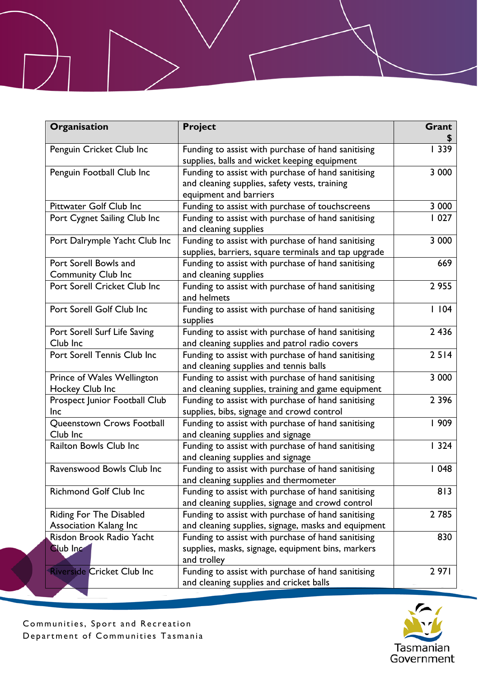| Organisation                      | <b>Project</b>                                                              | Grant     |
|-----------------------------------|-----------------------------------------------------------------------------|-----------|
| Penguin Cricket Club Inc          | Funding to assist with purchase of hand sanitising                          | 339       |
|                                   | supplies, balls and wicket keeping equipment                                |           |
| Penguin Football Club Inc         | Funding to assist with purchase of hand sanitising                          | 3 0 0 0   |
|                                   | and cleaning supplies, safety vests, training                               |           |
|                                   | equipment and barriers                                                      |           |
| Pittwater Golf Club Inc           | Funding to assist with purchase of touchscreens                             | 3 0 0 0   |
| Port Cygnet Sailing Club Inc      | Funding to assist with purchase of hand sanitising<br>and cleaning supplies | 1027      |
| Port Dalrymple Yacht Club Inc     | Funding to assist with purchase of hand sanitising                          | 3 000     |
|                                   | supplies, barriers, square terminals and tap upgrade                        |           |
| Port Sorell Bowls and             | Funding to assist with purchase of hand sanitising                          | 669       |
| <b>Community Club Inc</b>         | and cleaning supplies                                                       |           |
| Port Sorell Cricket Club Inc      | Funding to assist with purchase of hand sanitising                          | 2 9 5 5   |
|                                   | and helmets                                                                 |           |
| Port Sorell Golf Club Inc         | Funding to assist with purchase of hand sanitising                          | $ $ $ 04$ |
|                                   | supplies                                                                    |           |
| Port Sorell Surf Life Saving      | Funding to assist with purchase of hand sanitising                          | 2 4 3 6   |
| Club Inc                          | and cleaning supplies and patrol radio covers                               |           |
| Port Sorell Tennis Club Inc       | Funding to assist with purchase of hand sanitising                          | 2514      |
|                                   | and cleaning supplies and tennis balls                                      |           |
| Prince of Wales Wellington        | Funding to assist with purchase of hand sanitising                          | 3 000     |
| Hockey Club Inc                   | and cleaning supplies, training and game equipment                          |           |
| Prospect Junior Football Club     | Funding to assist with purchase of hand sanitising                          | 2 3 9 6   |
| <b>Inc</b>                        | supplies, bibs, signage and crowd control                                   |           |
| Queenstown Crows Football         | Funding to assist with purchase of hand sanitising                          | 909       |
| Club Inc                          | and cleaning supplies and signage                                           |           |
| Railton Bowls Club Inc            | Funding to assist with purchase of hand sanitising                          | 1324      |
|                                   | and cleaning supplies and signage                                           |           |
| Ravenswood Bowls Club Inc         | Funding to assist with purchase of hand sanitising                          | 1048      |
|                                   | and cleaning supplies and thermometer                                       |           |
| <b>Richmond Golf Club Inc</b>     | Funding to assist with purchase of hand sanitising                          | 813       |
|                                   | and cleaning supplies, signage and crowd control                            |           |
| Riding For The Disabled           | Funding to assist with purchase of hand sanitising                          | 2 7 8 5   |
| <b>Association Kalang Inc</b>     | and cleaning supplies, signage, masks and equipment                         |           |
| Risdon Brook Radio Yacht          | Funding to assist with purchase of hand sanitising                          | 830       |
| Club Inc                          | supplies, masks, signage, equipment bins, markers                           |           |
|                                   | and trolley                                                                 |           |
| <b>Riverside Cricket Club Inc</b> | Funding to assist with purchase of hand sanitising                          | 2971      |
|                                   | and cleaning supplies and cricket balls                                     |           |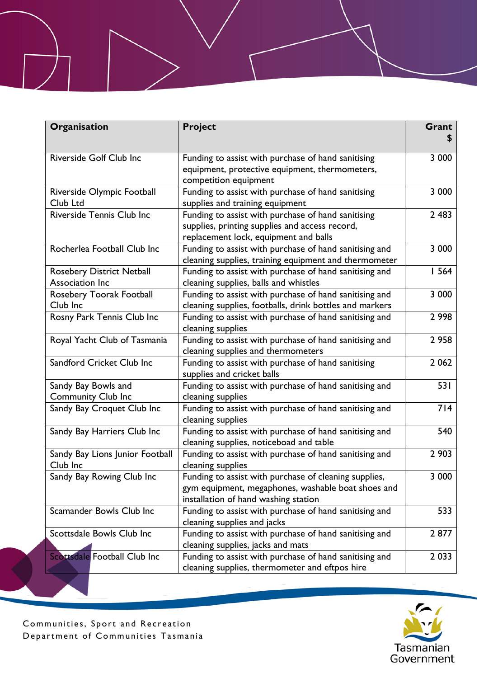| Organisation                        | <b>Project</b>                                          | Grant   |
|-------------------------------------|---------------------------------------------------------|---------|
| <b>Riverside Golf Club Inc</b>      | Funding to assist with purchase of hand sanitising      | 3 0 0 0 |
|                                     | equipment, protective equipment, thermometers,          |         |
|                                     | competition equipment                                   |         |
| Riverside Olympic Football          | Funding to assist with purchase of hand sanitising      | 3 000   |
| Club Ltd                            | supplies and training equipment                         |         |
| Riverside Tennis Club Inc           | Funding to assist with purchase of hand sanitising      | 2 4 8 3 |
|                                     | supplies, printing supplies and access record,          |         |
|                                     | replacement lock, equipment and balls                   |         |
| Rocherlea Football Club Inc         | Funding to assist with purchase of hand sanitising and  | 3 0 0 0 |
|                                     | cleaning supplies, training equipment and thermometer   |         |
| Rosebery District Netball           | Funding to assist with purchase of hand sanitising and  | 1564    |
| Association Inc                     | cleaning supplies, balls and whistles                   |         |
| Rosebery Toorak Football            | Funding to assist with purchase of hand sanitising and  | 3 000   |
| Club Inc                            | cleaning supplies, footballs, drink bottles and markers |         |
| Rosny Park Tennis Club Inc          | Funding to assist with purchase of hand sanitising and  | 2 9 9 8 |
|                                     | cleaning supplies                                       |         |
| Royal Yacht Club of Tasmania        | Funding to assist with purchase of hand sanitising and  | 2 9 5 8 |
|                                     | cleaning supplies and thermometers                      |         |
| Sandford Cricket Club Inc           | Funding to assist with purchase of hand sanitising      | 2 0 6 2 |
|                                     | supplies and cricket balls                              |         |
| Sandy Bay Bowls and                 | Funding to assist with purchase of hand sanitising and  | 53 I    |
| <b>Community Club Inc</b>           | cleaning supplies                                       |         |
| Sandy Bay Croquet Club Inc          | Funding to assist with purchase of hand sanitising and  | 714     |
|                                     | cleaning supplies                                       |         |
| Sandy Bay Harriers Club Inc         | Funding to assist with purchase of hand sanitising and  | 540     |
|                                     | cleaning supplies, noticeboad and table                 |         |
| Sandy Bay Lions Junior Football     | Funding to assist with purchase of hand sanitising and  | 2 9 0 3 |
| Club Inc                            | cleaning supplies                                       |         |
| Sandy Bay Rowing Club Inc           | Funding to assist with purchase of cleaning supplies,   | 3 000   |
|                                     | gym equipment, megaphones, washable boat shoes and      |         |
|                                     | installation of hand washing station                    |         |
| Scamander Bowls Club Inc            | Funding to assist with purchase of hand sanitising and  | 533     |
|                                     | cleaning supplies and jacks                             |         |
| Scottsdale Bowls Club Inc           | Funding to assist with purchase of hand sanitising and  | 2877    |
|                                     | cleaning supplies, jacks and mats                       |         |
| <b>Scottsdale Football Club Inc</b> | Funding to assist with purchase of hand sanitising and  | 2 0 3 3 |
|                                     | cleaning supplies, thermometer and eftpos hire          |         |

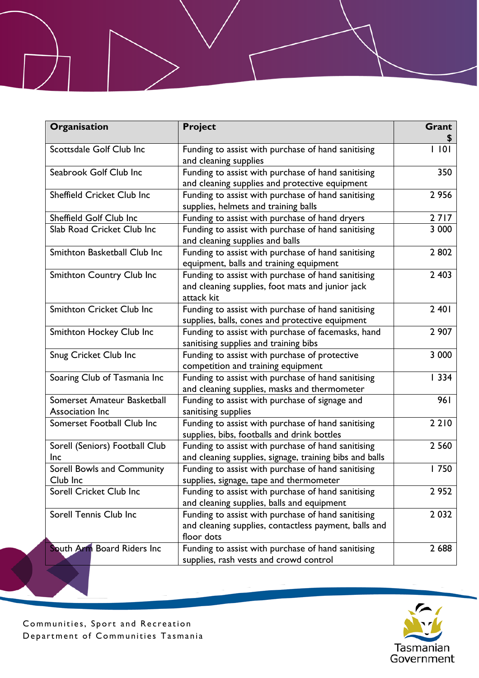| Organisation                                   | <b>Project</b>                                                                                                            | Grant   |
|------------------------------------------------|---------------------------------------------------------------------------------------------------------------------------|---------|
| Scottsdale Golf Club Inc                       | Funding to assist with purchase of hand sanitising<br>and cleaning supplies                                               | 0       |
| Seabrook Golf Club Inc                         | Funding to assist with purchase of hand sanitising<br>and cleaning supplies and protective equipment                      | 350     |
| Sheffield Cricket Club Inc                     | Funding to assist with purchase of hand sanitising<br>supplies, helmets and training balls                                | 2 9 5 6 |
| Sheffield Golf Club Inc                        | Funding to assist with purchase of hand dryers                                                                            | 2717    |
| Slab Road Cricket Club Inc                     | Funding to assist with purchase of hand sanitising<br>and cleaning supplies and balls                                     | 3 000   |
| Smithton Basketball Club Inc                   | Funding to assist with purchase of hand sanitising<br>equipment, balls and training equipment                             | 2802    |
| Smithton Country Club Inc                      | Funding to assist with purchase of hand sanitising<br>and cleaning supplies, foot mats and junior jack<br>attack kit      | 2 4 0 3 |
| Smithton Cricket Club Inc                      | Funding to assist with purchase of hand sanitising<br>supplies, balls, cones and protective equipment                     | 2401    |
| Smithton Hockey Club Inc                       | Funding to assist with purchase of facemasks, hand<br>sanitising supplies and training bibs                               | 2 907   |
| Snug Cricket Club Inc                          | Funding to assist with purchase of protective<br>competition and training equipment                                       | 3 000   |
| Soaring Club of Tasmania Inc                   | Funding to assist with purchase of hand sanitising<br>and cleaning supplies, masks and thermometer                        | 1334    |
| Somerset Amateur Basketball<br>Association Inc | Funding to assist with purchase of signage and<br>sanitising supplies                                                     | 961     |
| Somerset Football Club Inc                     | Funding to assist with purchase of hand sanitising<br>supplies, bibs, footballs and drink bottles                         | 2 2 1 0 |
| Sorell (Seniors) Football Club<br>Inc          | Funding to assist with purchase of hand sanitising<br>and cleaning supplies, signage, training bibs and balls             | 2 5 6 0 |
| Sorell Bowls and Community<br>Club Inc         | Funding to assist with purchase of hand sanitising<br>supplies, signage, tape and thermometer                             | 750     |
| Sorell Cricket Club Inc                        | Funding to assist with purchase of hand sanitising<br>and cleaning supplies, balls and equipment                          | 2 9 5 2 |
| Sorell Tennis Club Inc                         | Funding to assist with purchase of hand sanitising<br>and cleaning supplies, contactless payment, balls and<br>floor dots | 2 0 3 2 |
| South Arm Board Riders Inc                     | Funding to assist with purchase of hand sanitising<br>supplies, rash vests and crowd control                              | 2688    |

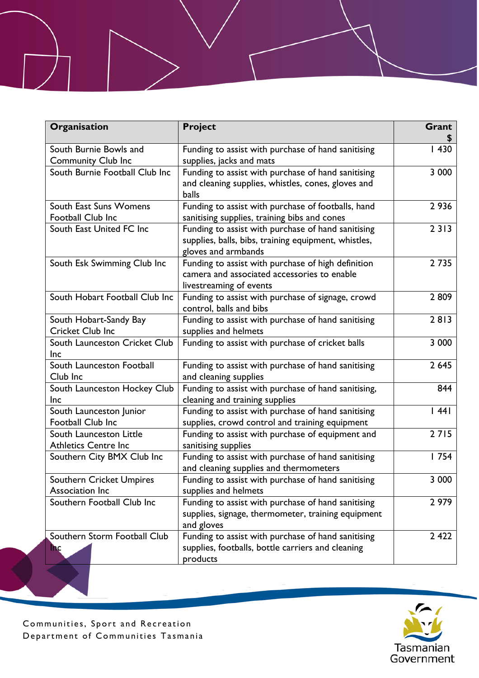| Organisation                                           | <b>Project</b>                                                                                                                    | Grant   |
|--------------------------------------------------------|-----------------------------------------------------------------------------------------------------------------------------------|---------|
| South Burnie Bowls and<br><b>Community Club Inc</b>    | Funding to assist with purchase of hand sanitising<br>supplies, jacks and mats                                                    | 1430    |
| South Burnie Football Club Inc                         | Funding to assist with purchase of hand sanitising<br>and cleaning supplies, whistles, cones, gloves and<br>balls                 | 3 0 0 0 |
| South East Suns Womens<br>Football Club Inc            | Funding to assist with purchase of footballs, hand<br>sanitising supplies, training bibs and cones                                | 2936    |
| South East United FC Inc                               | Funding to assist with purchase of hand sanitising<br>supplies, balls, bibs, training equipment, whistles,<br>gloves and armbands | 2313    |
| South Esk Swimming Club Inc                            | Funding to assist with purchase of high definition<br>camera and associated accessories to enable<br>livestreaming of events      | 2735    |
| South Hobart Football Club Inc                         | Funding to assist with purchase of signage, crowd<br>control, balls and bibs                                                      | 2809    |
| South Hobart-Sandy Bay<br>Cricket Club Inc             | Funding to assist with purchase of hand sanitising<br>supplies and helmets                                                        | 2813    |
| South Launceston Cricket Club<br><b>Inc</b>            | Funding to assist with purchase of cricket balls                                                                                  | 3 000   |
| South Launceston Football<br>Club Inc                  | Funding to assist with purchase of hand sanitising<br>and cleaning supplies                                                       | 2 6 4 5 |
| South Launceston Hockey Club<br>Inc                    | Funding to assist with purchase of hand sanitising,<br>cleaning and training supplies                                             | 844     |
| South Launceston Junior<br>Football Club Inc           | Funding to assist with purchase of hand sanitising<br>supplies, crowd control and training equipment                              | 44      |
| South Launceston Little<br><b>Athletics Centre Inc</b> | Funding to assist with purchase of equipment and<br>sanitising supplies                                                           | 2715    |
| Southern City BMX Club Inc                             | Funding to assist with purchase of hand sanitising<br>and cleaning supplies and thermometers                                      | 1754    |
| <b>Southern Cricket Umpires</b><br>Association Inc     | Funding to assist with purchase of hand sanitising<br>supplies and helmets                                                        | 3 000   |
| Southern Football Club Inc                             | Funding to assist with purchase of hand sanitising<br>supplies, signage, thermometer, training equipment<br>and gloves            | 2 9 7 9 |
| Southern Storm Football Club<br><b>Inc</b>             | Funding to assist with purchase of hand sanitising<br>supplies, footballs, bottle carriers and cleaning<br>products               | 2 4 2 2 |

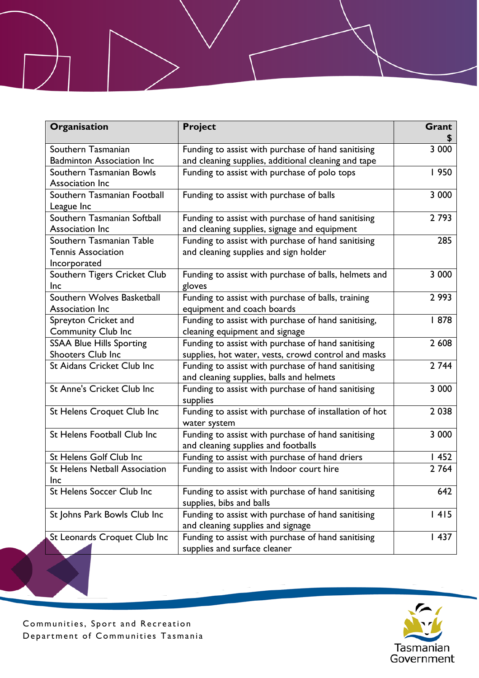| Organisation                                       | <b>Project</b>                                                 | Grant   |
|----------------------------------------------------|----------------------------------------------------------------|---------|
| Southern Tasmanian                                 | Funding to assist with purchase of hand sanitising             | 3 000   |
| <b>Badminton Association Inc</b>                   | and cleaning supplies, additional cleaning and tape            |         |
| Southern Tasmanian Bowls                           | Funding to assist with purchase of polo tops                   | 1950    |
| Association Inc                                    |                                                                |         |
| Southern Tasmanian Football                        | Funding to assist with purchase of balls                       | 3 000   |
| League Inc                                         |                                                                |         |
| Southern Tasmanian Softball                        | Funding to assist with purchase of hand sanitising             | 2 7 9 3 |
| Association Inc                                    | and cleaning supplies, signage and equipment                   |         |
| Southern Tasmanian Table                           | Funding to assist with purchase of hand sanitising             | 285     |
| <b>Tennis Association</b>                          | and cleaning supplies and sign holder                          |         |
| Incorporated                                       |                                                                |         |
| Southern Tigers Cricket Club                       | Funding to assist with purchase of balls, helmets and          | 3 000   |
| <b>Inc</b>                                         | gloves                                                         |         |
| Southern Wolves Basketball                         | Funding to assist with purchase of balls, training             | 2 9 9 3 |
| Association Inc                                    | equipment and coach boards                                     |         |
| Spreyton Cricket and                               | Funding to assist with purchase of hand sanitising,            | 878     |
| <b>Community Club Inc</b>                          | cleaning equipment and signage                                 |         |
| <b>SSAA Blue Hills Sporting</b>                    | Funding to assist with purchase of hand sanitising             | 2 608   |
| Shooters Club Inc                                  | supplies, hot water, vests, crowd control and masks            |         |
| St Aidans Cricket Club Inc                         | Funding to assist with purchase of hand sanitising             | 2 744   |
|                                                    | and cleaning supplies, balls and helmets                       |         |
| St Anne's Cricket Club Inc                         | Funding to assist with purchase of hand sanitising<br>supplies | 3 000   |
| St Helens Croquet Club Inc                         | Funding to assist with purchase of installation of hot         | 2 0 3 8 |
|                                                    | water system                                                   |         |
| St Helens Football Club Inc                        | Funding to assist with purchase of hand sanitising             | 3 000   |
|                                                    | and cleaning supplies and footballs                            |         |
| <b>St Helens Golf Club Inc</b>                     | Funding to assist with purchase of hand driers                 | 1452    |
| <b>St Helens Netball Association</b><br><b>Inc</b> | Funding to assist with Indoor court hire                       | 2 7 6 4 |
| <b>St Helens Soccer Club Inc</b>                   | Funding to assist with purchase of hand sanitising             | 642     |
|                                                    | supplies, bibs and balls                                       |         |
| St Johns Park Bowls Club Inc                       | Funding to assist with purchase of hand sanitising             | 4 5     |
|                                                    | and cleaning supplies and signage                              |         |
| St Leonards Croquet Club Inc                       | Funding to assist with purchase of hand sanitising             | 1437    |
|                                                    | supplies and surface cleaner                                   |         |

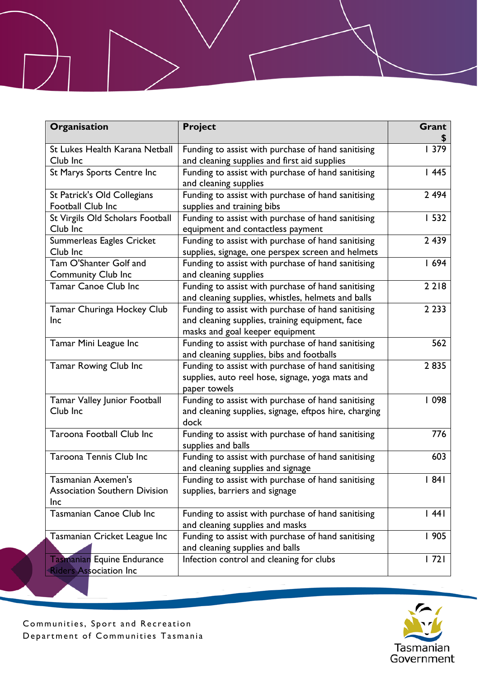| Organisation                                                       | <b>Project</b>                                                                                                                           | Grant   |
|--------------------------------------------------------------------|------------------------------------------------------------------------------------------------------------------------------------------|---------|
| St Lukes Health Karana Netball<br>Club Inc                         | Funding to assist with purchase of hand sanitising<br>and cleaning supplies and first aid supplies                                       | 379     |
| St Marys Sports Centre Inc                                         | Funding to assist with purchase of hand sanitising<br>and cleaning supplies                                                              | 1445    |
| St Patrick's Old Collegians<br>Football Club Inc                   | Funding to assist with purchase of hand sanitising<br>supplies and training bibs                                                         | 2 4 9 4 |
| St Virgils Old Scholars Football<br>Club Inc                       | Funding to assist with purchase of hand sanitising<br>equipment and contactless payment                                                  | 1532    |
| Summerleas Eagles Cricket<br>Club Inc                              | Funding to assist with purchase of hand sanitising<br>supplies, signage, one perspex screen and helmets                                  | 2 4 3 9 |
| Tam O'Shanter Golf and<br><b>Community Club Inc</b>                | Funding to assist with purchase of hand sanitising<br>and cleaning supplies                                                              | 1694    |
| <b>Tamar Canoe Club Inc</b>                                        | Funding to assist with purchase of hand sanitising<br>and cleaning supplies, whistles, helmets and balls                                 | 2 2 1 8 |
| Tamar Churinga Hockey Club<br><b>Inc</b>                           | Funding to assist with purchase of hand sanitising<br>and cleaning supplies, training equipment, face<br>masks and goal keeper equipment | 2 2 3 3 |
| Tamar Mini League Inc                                              | Funding to assist with purchase of hand sanitising<br>and cleaning supplies, bibs and footballs                                          | 562     |
| Tamar Rowing Club Inc                                              | Funding to assist with purchase of hand sanitising<br>supplies, auto reel hose, signage, yoga mats and<br>paper towels                   | 2835    |
| <b>Tamar Valley Junior Football</b><br>Club Inc                    | Funding to assist with purchase of hand sanitising<br>and cleaning supplies, signage, eftpos hire, charging<br>dock                      | 1098    |
| Taroona Football Club Inc                                          | Funding to assist with purchase of hand sanitising<br>supplies and balls                                                                 | 776     |
| Taroona Tennis Club Inc                                            | Funding to assist with purchase of hand sanitising<br>and cleaning supplies and signage                                                  | 603     |
| Tasmanian Axemen's<br><b>Association Southern Division</b><br>Inc  | Funding to assist with purchase of hand sanitising<br>supplies, barriers and signage                                                     | 1841    |
| Tasmanian Canoe Club Inc                                           | Funding to assist with purchase of hand sanitising<br>and cleaning supplies and masks                                                    | 44      |
| Tasmanian Cricket League Inc                                       | Funding to assist with purchase of hand sanitising<br>and cleaning supplies and balls                                                    | 1905    |
| <b>Tasmanian Equine Endurance</b><br><b>Riders Association Inc</b> | Infection control and cleaning for clubs                                                                                                 | 72      |

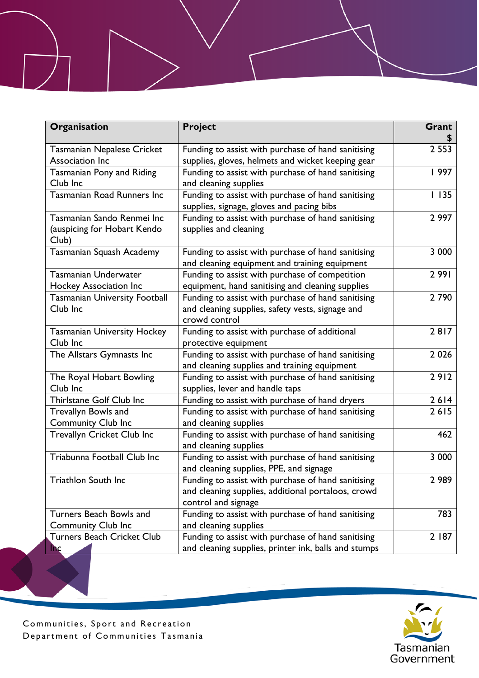| Organisation                                                       | <b>Project</b>                                                                                                                  | Grant   |
|--------------------------------------------------------------------|---------------------------------------------------------------------------------------------------------------------------------|---------|
| <b>Tasmanian Nepalese Cricket</b>                                  | Funding to assist with purchase of hand sanitising                                                                              | 2 5 5 3 |
| Association Inc                                                    | supplies, gloves, helmets and wicket keeping gear                                                                               |         |
| <b>Tasmanian Pony and Riding</b><br>Club Inc                       | Funding to assist with purchase of hand sanitising<br>and cleaning supplies                                                     | 997     |
| <b>Tasmanian Road Runners Inc</b>                                  | Funding to assist with purchase of hand sanitising<br>supplies, signage, gloves and pacing bibs                                 | 1135    |
| Tasmanian Sando Renmei Inc<br>(auspicing for Hobart Kendo<br>Club) | Funding to assist with purchase of hand sanitising<br>supplies and cleaning                                                     | 2 9 9 7 |
| Tasmanian Squash Academy                                           | Funding to assist with purchase of hand sanitising<br>and cleaning equipment and training equipment                             | 3 000   |
| <b>Tasmanian Underwater</b><br><b>Hockey Association Inc</b>       | Funding to assist with purchase of competition<br>equipment, hand sanitising and cleaning supplies                              | 2991    |
| <b>Tasmanian University Football</b><br>Club Inc                   | Funding to assist with purchase of hand sanitising<br>and cleaning supplies, safety vests, signage and<br>crowd control         | 2 7 9 0 |
| <b>Tasmanian University Hockey</b><br>Club Inc                     | Funding to assist with purchase of additional<br>protective equipment                                                           | 2817    |
| The Allstars Gymnasts Inc                                          | Funding to assist with purchase of hand sanitising<br>and cleaning supplies and training equipment                              | 2 0 2 6 |
| The Royal Hobart Bowling<br>Club Inc                               | Funding to assist with purchase of hand sanitising<br>supplies, lever and handle taps                                           | 2912    |
| Thirlstane Golf Club Inc                                           | Funding to assist with purchase of hand dryers                                                                                  | 2614    |
| Trevallyn Bowls and<br><b>Community Club Inc</b>                   | Funding to assist with purchase of hand sanitising<br>and cleaning supplies                                                     | 2615    |
| <b>Trevallyn Cricket Club Inc</b>                                  | Funding to assist with purchase of hand sanitising<br>and cleaning supplies                                                     | 462     |
| Triabunna Football Club Inc                                        | Funding to assist with purchase of hand sanitising<br>and cleaning supplies, PPE, and signage                                   | 3 0 0 0 |
| Triathlon South Inc                                                | Funding to assist with purchase of hand sanitising<br>and cleaning supplies, additional portaloos, crowd<br>control and signage | 2 9 8 9 |
| Turners Beach Bowls and<br><b>Community Club Inc</b>               | Funding to assist with purchase of hand sanitising<br>and cleaning supplies                                                     | 783     |
| <b>Turners Beach Cricket Club</b><br><b>Inc</b>                    | Funding to assist with purchase of hand sanitising<br>and cleaning supplies, printer ink, balls and stumps                      | 2 187   |

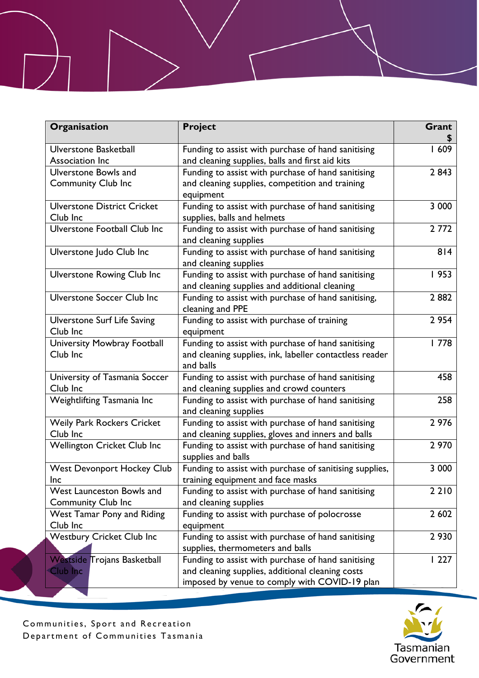| Organisation                             | <b>Project</b>                                                                                        | Grant   |
|------------------------------------------|-------------------------------------------------------------------------------------------------------|---------|
| Ulverstone Basketball<br>Association Inc | Funding to assist with purchase of hand sanitising<br>and cleaning supplies, balls and first aid kits | 1609    |
| <b>Ulverstone Bowls and</b>              | Funding to assist with purchase of hand sanitising                                                    | 2 8 4 3 |
| <b>Community Club Inc</b>                | and cleaning supplies, competition and training                                                       |         |
|                                          | equipment                                                                                             |         |
| <b>Ulverstone District Cricket</b>       | Funding to assist with purchase of hand sanitising                                                    | 3 000   |
| Club Inc                                 | supplies, balls and helmets                                                                           |         |
| Ulverstone Football Club Inc             | Funding to assist with purchase of hand sanitising                                                    | 2 7 7 2 |
|                                          | and cleaning supplies                                                                                 |         |
| Ulverstone Judo Club Inc                 | Funding to assist with purchase of hand sanitising                                                    | 814     |
|                                          | and cleaning supplies                                                                                 |         |
| <b>Ulverstone Rowing Club Inc</b>        | Funding to assist with purchase of hand sanitising                                                    | 1953    |
|                                          | and cleaning supplies and additional cleaning                                                         |         |
| <b>Ulverstone Soccer Club Inc</b>        | Funding to assist with purchase of hand sanitising,<br>cleaning and PPE                               | 2882    |
| <b>Ulverstone Surf Life Saving</b>       | Funding to assist with purchase of training                                                           | 2 9 5 4 |
| Club Inc                                 | equipment                                                                                             |         |
| University Mowbray Football              | Funding to assist with purchase of hand sanitising                                                    | 778     |
| Club Inc                                 | and cleaning supplies, ink, labeller contactless reader<br>and balls                                  |         |
| University of Tasmania Soccer            | Funding to assist with purchase of hand sanitising                                                    | 458     |
| Club Inc                                 | and cleaning supplies and crowd counters                                                              |         |
| Weightlifting Tasmania Inc               | Funding to assist with purchase of hand sanitising                                                    | 258     |
|                                          | and cleaning supplies                                                                                 |         |
| <b>Weily Park Rockers Cricket</b>        | Funding to assist with purchase of hand sanitising                                                    | 2 9 7 6 |
| Club Inc                                 | and cleaning supplies, gloves and inners and balls                                                    |         |
| <b>Wellington Cricket Club Inc</b>       | Funding to assist with purchase of hand sanitising<br>supplies and balls                              | 2 970   |
| <b>West Devonport Hockey Club</b>        | Funding to assist with purchase of sanitising supplies,                                               | 3 000   |
| <b>Inc</b>                               | training equipment and face masks                                                                     |         |
| West Launceston Bowls and                | Funding to assist with purchase of hand sanitising                                                    | 2 2 1 0 |
| <b>Community Club Inc</b>                | and cleaning supplies                                                                                 |         |
| West Tamar Pony and Riding               | Funding to assist with purchase of polocrosse                                                         | 2 602   |
| Club Inc                                 | equipment                                                                                             |         |
| <b>Westbury Cricket Club Inc</b>         | Funding to assist with purchase of hand sanitising                                                    | 2 9 3 0 |
|                                          | supplies, thermometers and balls                                                                      |         |
| Westside Trojans Basketball              | Funding to assist with purchase of hand sanitising                                                    | 227     |
| Club Inc                                 | and cleaning supplies, additional cleaning costs                                                      |         |
|                                          | imposed by venue to comply with COVID-19 plan                                                         |         |